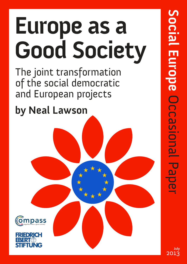# **Europe as a Good Society**

The joint transformation of the social democratic and European projects

**by Neal Lawson**





**Social Europe** urope Occasional Occasional PaperPape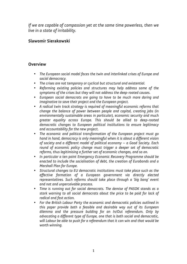*If we are capable of compassion yet at the same time powerless, then we live in a state of irritability.* 

### **Slawomir Sierakowski**

#### **Overview**

- *The European social model faces the twin and interlinked crises of Europe and social democracy.*
- *The crises are not temporary or cyclical but structural and existential.*
- *Reforming existing policies and structures may help address some of the symptoms of the crises but they will not address the deep-rooted causes.*
- *European social democrats are going to have to be much more daring and imaginative to save their project and the European project.*
- *A radical twin track strategy is required of meaningful economic reforms that change the balance of power between people and capital, creating jobs (in environmentally sustainable areas in particular), economic security and much greater equality across Europe. This should be allied to deep-rooted democratic changes to European political institutions to ensure legitimacy and accountability for the new project.*
- *The economic and political transformation of the European project must go hand in hand, democracy is only meaningful when it is about a different vision of society and a different model of political economy – a Good Society. Each round of economic policy change must trigger a deeper set of democratic reforms, thus legitimising a further set of economic changes, and so on.*
- *In particular a ten point Emergency Economic Recovery Programme should be enacted to include the socialisation of debt, the creation of Eurobonds and a Marshall Plan for Europe.*
- *Structural changes to EU democratic institutions must take place such as the effective formation of a European government via directly elected representatives. Such reforms should take place through a 'big bang' event and not and unperceivable process.*
- *Time is running out for social democrats. The demise of PASOK stands as a stark warning to all social democrats about the price to be paid for lack of radical and fast action.*
- *For the British Labour Party the economic and democratic policies outlined in this paper provide both a feasible and desirable way out of its European dilemma and the pressure building for an In/Out referendum. Only by advocating a different type of Europe, one that is both social and democratic, will Labour be able to push for a referendum that it can win and that would be worth winning.*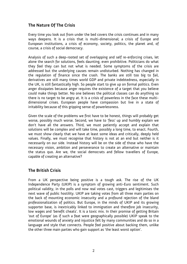#### **The Nature Of The Crisis**

Every time you look out from under the bed covers the crisis continues and in many ways deepens. It is a crisis that is multi-dimensional; a crisis of Europe and European institutions, a crisis of economy, society, politics, the planet and, of course, a crisis of social democracy.

Analysis of such a deep-rooted set of overlapping and self re-enforcing crises, let alone the search for solutions, feels daunting, even prohibitive. Politicians do what they feel they can but not what is needed. Some symptoms of the crisis are addressed but the underlying causes remain undisturbed. Nothing has changed in the regulation of finance since the crash. The banks are still too big to fail, derivatives are still many times world GDP and private indebtedness, especially in the UK, is still fantastically high. So people start to give up on formal politics. Even anger dissipates because anger requires the existence of a target that you believe could make things better. No one believes the political classes can do anything so there is no target to be angry at. It is a crisis of powerless in the face these multidimensional crises. European people have compassion but live in a state of irritability because of this gripping sense of powerlessness.

Given the scale of the problems we first have to be honest, things will probably get worse, possibly much worse. Second, we have to 'fess' up and humbly explain we don't have all the answers. Third, we must patiently accept and explain that solutions will be complex and will take time, possibly a long time, to enact. Fourth, we must show clearly that we have at least some ideas and critically, deeply held values. Finally, we must recognise that history is not at an end but neither is it necessarily on our side. Instead history will be on the side of those who have the necessary vision, ambition and perseverance to create an alternative or maintain the status quo. Are we, the social democrats and fellow travellers of Europe, capable of creating an alternative?

#### **The British Crisis**

From a UK perspective being positive is a tough ask. The rise of the UK Independence Party (UKIP) is a symptom of growing anti-Euro sentiment. Such political validity, in the polls and now real votes cast, triggers and legitimises the next wave of public hostility. UKIP are taking votes from all three main parties on the back of mounting economic insecurity and a profound rejection of the bland professionalization of politics. But Europe, in the minds of UKIP and its growing supporter base, is inextricably linked to immigration and therefore job insecurity, low wages and 'benefit cheats'. It is a toxic mix. In their promise of getting Britain 'out of Europe' (as if such a feat were geographically possible) UKIP speak to the emotional wounds of anxiety and injustice felt by many communities and do so in a language and style that connects. People feel positive about backing them, unlike the other three main parties who gain support as 'the least worst option'.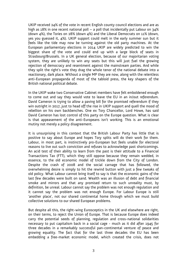UKIP received 24% of the vote in recent English county council elections and are as high as 18% in one recent national poll – a poll that incidentally put Labour on 34% (down 4%), the Tories on 28% (down 4%) and the Liberal Democrats on 11% (down, yes you guessed it, 4%). UKIP support could melt in the early summer sun but it feels like the tide may now be turning against the old party machines. At the European parliamentary elections in 2014 UKIP are widely predicted to win the biggest share of the vote and could end up with a large block of seats in Strasbourg/Brussels. In a UK general election, because of our majoritarian voting system, they are unlikely to win any seats but this will just fuel the growing rejection of democracy and resentment against the mainstream parties. And while they split the right's vote they drag the whole tenor of the national debate into a reactionary, dark place. Without a single MP they are now, along with the relentless anti-European propaganda of most of the tabloid press, the key shapers of the British national political debate.

In the UKIP wake two Conservative Cabinet members have felt emboldened enough to come out and say they would vote to leave the EU in an in/out referendum. David Cameron is trying to allow a paving bill for the promised referendum if they win outright in 2017, just to head off the rise in UKIP support and quell the mood of rebellion on his own backbenches. One ex Tory Chancellor, Lord Howe, has said David Cameron has lost control of this party on the Europe question. What is clear is that appeasement of the anti-Europeans isn't working. This is an emotional mutiny not merely a policy disagreement.

It is unsurprising in this context that the British Labour Party has little that is positive to say about Europe and hopes Tory splits will do their work for them. Labour, in most part, is instinctively pro-European but feels unable for electoral reasons to live out such conviction and refuses to acknowledge past shortcomings. An acid test of their ability to learn from the past is their attitude to a Financial Transactions Tax (FTT), which they still oppose because they remain wedded, in essence, to the old economic model of trickle down from the City of London. Despite the crash of 2008 and the social carnage that has followed, the overwhelming desire is simply to hit the rewind button with just a few tweaks of old policy. What Labour cannot bring itself to say is that the economic gains of the last few decades were built on sand. Wealth was an illusion of debt and financial smoke and mirrors and that any promised return to such unreality must, by definition, be unreal. Labour cannot say the problem was not enough regulation and it cannot say the problem was not enough Europe. For Labour Europe is still 'another place', not our shared continental home through which we must build collective solutions to our shared European problems.

But despite all this, the right-wing Eurosceptics in the UK and elsewhere are right, on their terms, to reject the Union of Europe. That is because Europe does indeed carry the potential seeds of planning, regulation and cross-national solidarities necessary to put capitalism back in a social cage - much as it did after 1945 for three decades in a remarkably successful pan-continental venture of peace and growing equality. The fact that for the last three decades the EU has been embedding a free-market economic model, which created the crisis, does not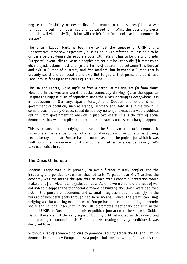negate the feasibility or desirability of a return to that successful post-war formation, albeit in a modernised and radicalised form. While this possibility exists the right will vigorously fight it but will the left fight for a socialised and democratic Europe?

The British Labour Party is beginning to feel the squeeze of UKIP and a Conservative Party now aggressively pushing an In/Out referendum. It is hard to be on the side that denies the people a vote. Ultimately it has to be the wrong side. Europe will eventually thrive as a peoples project but inevitably die if it remains an elite project. Labour must change the terms of debate; not between 'this Europe' and exit, a Europe of austerity and free markets, but between a Europe that is properly social and democratic and exit. But to get to that point, and do it fast, Labour must face up to the crisis of 'this Europe'.

The UK and Labour, while suffering from a particular malaise, are far from alone. Nowhere in the western world is social democracy thriving. Quite the opposite! Despite the biggest crisis of capitalism since the 1870s it struggles everywhere. It is in opposition in Germany, Spain, Portugal and Sweden and where it is in government or coalition, such as France, Denmark and Italy, it is in meltdown. In some places, notably Greece, social democracy no longer exists as a viable political option. From government to oblivion in just two years! This is the fate of social democrats that will be replicated in other nation states unless real change happens.

This is because the underlying purpose of the European and social democratic projects are in existential crisis, not a temporal or cyclical crisis but a crisis of being. Let us be crystal clear: Europe has no future based on the project for which it was built nor in the manner in which it was built and neither has social democracy. Let's take each crisis in turn.

#### **The Crisis Of Europe**

Modern Europe was built primarily to avoid further military conflict and the insecurity and political extremism that led to it. To paraphrase Mrs Thatcher, the economy was the means the goal was to avoid war. Economic integration would make profit from violent land grabs pointless. As time wore on and the threat of war did indeed disappear the technocratic means of building the Union were deployed not in the pursuit of economic and cultural integration but increasingly in the pursuit of neoliberal goals through neoliberal means. Hence, the great stabilising, unifying and humanising experiment of Europe has ended up promoting economic, social and political insecurity. In the UK it promotes reactionary populism in the form of UKIP, in Greece a more sinister political formation in the shape of Golden Dawn. These are just the early signs of looming political and social decay resulting from prolonged economic crisis. Europe is now creating the very conditions it was designed to avoid.

Without a set of economic policies to promote security across the EU and with no democratic legitimacy Europe is now a project built on the wrong foundations that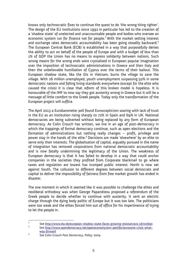knows only technocratic fixes to continue the quest to do 'the wrong thing righter'. The design of the EU institutions since 1992 in particular has led to the creation of a 'shadow state' of unelected and unaccountable people and bodies who oversee an economic system run for finance not for people. $^1$  With the market setting interest and exchange rates democratic accountability has been going steadily backward.<sup>2</sup> The European Central Bank (ECB) is established in a way that purposefully denies the ability to act on behalf of the people of Europe and with a budget of less than 1% of GDP the Union has no means to express solidarity between nations. Such wrong means for the wrong ends were crystalised in European popular imagination over the imposition of technocratic administrations in Greece and then Italy and then the unbelievable humiliation of Cyprus over the terms of their bailout. This European shadow state, like the GIs in Vietnam, burns the village to save the village. With 26 million unemployed, youth unemployment surpassing 50% in some democratic nations and falling living standards everywhere (except for the elite who caused the crisis) it is clear that reform of this broken model is hopeless. It is honourable of the IMF to now say they got austerity wrong in Greece but it will be a message of little comfort to the Greek people. Today only the transformation of the European project will suffice.

The April 2013 a Eurobarometer poll found Euroscepticism soaring with lack of trust in the EU as an institution rising sharply to 72% in Spain and 69% in UK. National democracies are being subverted without being replaced by any form of European democracy. As Colin Crouch has written, we live in an age of post-democracy in which the trappings of formal democracy continue, such as open elections and the formation of administrations but nothing really changes – profit, privilege and power stay in the hands of the elite.<sup>3</sup> Decisions are made 'elsewhere' by an elite to serve only their interests. The globalisation of capital, arguably pursued in the name of integration has removed corporations from national democratic accountability and is now fatally undermining the legitimacy of the Union. The weakness of European democracy is that it has failed to develop in a way that could anchor companies in the societies they profited from. Corporate blackmail to go where taxes and regulation are lowest has trumped public interest. North is now set against South. The collusion to different degrees between social democrats and capital to deliver the impossibility of fairness from free market growth has ended in disaster.

The one moment in which it seemed like it was possible to challenge the elites and neoliberal orthodoxy was when George Papandreou proposed a referendum of the Greek people to decide whether to continue with austerity. It sent an electric charge through the dying body politic of Europe but it was too late. The politicians were too weak and the elites forced him out of office for his impertinence of trying to let the people in.

<sup>1</sup> See http://www.dw.de/european-shadow-state-faces-growing-resistance/a-16720690

<sup>2</sup> See http://www.opendemocracy.net/openeconomy/ann-pettifor/eurozone-crisis-whatway-forward 

<sup>3</sup> See Colin Crouch *Post Democracy*, Polity, 2004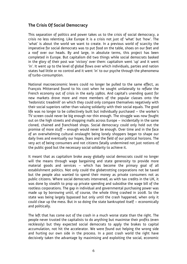#### **The Crisis Of Social Democracy**

This separation of politics and power takes us to the crisis of social democracy, a crisis no less relenting. Like Europe it is a crisis not just of 'what' but 'how'. The 'what' is about the world we want to create. In a previous world of scarcity the imperative for social democrats was to put food on the table, shoes on our feet and a roof over our heads. By and large, in absolute terms, this project has been completed in Europe. But capitalism did two things while social democrats basked in the glory of their post war 'victory' over them: capitalism went 'up' and it went 'in'. It went up to the level of global flows over which individuals, parties and nation states had little or no control and it went 'in' to our psyche through the phenomena of turbo-consumption.

National macroeconomic levers could no longer be pulled to the same effect, as François Mitterrand found to his cost when he sought unilaterally to reflate the French economy out of crisis in the early 1980s. And capital's unending quest for new markets drove more and more members of the popular classes onto the 'hedonistic treadmill' on which they could only compare themselves negatively with their social superiors rather than valuing solidarity with their social equals. The good life was no longer to be collectively built but individually purchased – the worker's TV screen could never be big enough nor thin enough. The struggle was now fought out on the high streets and shopping malls across Europe – incidentally in the same cloned, chained and franchised shops. Social democracy could only hold out the promise of more stuff – enough would never be enough. Over time and in the face of an overwhelming cultural onslaught being lonely shoppers began to shape our daily lives and eventually our hopes, fears and the field of our political horizons. The very act of being consumers and not citizens fatally undermined not just notions of the public good but the necessary social solidarity to achieve it.

It meant that as capitalism broke away globally social democrats could no longer will the means through wage bargaining and state generosity to provide more material goods and services – which has become the primary goal of all establishment politics. Not only could the globetrotting corporations not be taxed but the people also wanted to spend their money as private consumers not as public citizens. Where social democrats intervened, as with tax credits in the UK, it was done by stealth to prop up private spending and subsidise the wage bill of the rootless corporations. The gap in individual and governmental purchasing power was made up by borrowing until, of course, the whole thing crashed in 2008. So the state was being largely bypassed but only until the crash happened, when only it could clear up the mess. But in so doing the state bankrupted itself – economically and politically.

The left that has come out of the crash in a much worse state than the right. The people never trusted the capitalists to do anything but maximise their profits (even recklessly) but they expected social democrats to apply the brakes to capital accumulation, not hit the accelerator. We were found out helping the wrong side and hurting our own side in the process. In a post crash world the right have decisively taken the advantage by maximising and exploiting the social, economic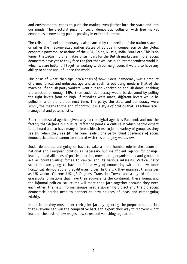and environmental chaos to push the market even further into the state and into our minds. The electoral price for social democratic collusion with free market economics is now being paid – possibly in existential terms.

The tailspin of social democracy is also caused by the decline of the nation state – or rather the medium-sized nation states of Europe in comparison to the global economic powerhouse nations of the USA, China, Russia, India, Brazil etc. This is no longer the 1950s; no one makes British cars for the British market any more. Social democrats have yet to truly face the fact that we live in an interdependent world in which we are better off together working with our neighbours if we are to have any ability to shape and influence the world.

This crisis of 'what' then tips into a crisis of 'how'. Social democracy was a product of a mechanical and industrial age and as such its operating mode is that of the machine. If enough party workers went out and knocked on enough doors, enabling the election of enough MPs, then social democracy would be delivered by pulling the right levers from on high. If mistakes were made, different levers would be pulled in a different order next time. The party, the state and democracy were simply the means to the end of control. It is a style of politics that is technocratic, managerial and paternalistic.

But the industrial age has given way to the digital age. It is Facebook and not the factory that defines our cultural reference points. A culture in which people expect to be heard and to have many different identities, to join a variety of groups as they see fit, when they see fit. The 'one leader, one party' blind obedience of social democratic culture cannot be squared with this emerging worldview.

Social democrats are going to have to take a more humble role in the future of national and European politics as necessary but insufficient agents for change, leading broad alliances of political parties, movements, organisations and groups to act as countervailing forces to capital and its various interests. Vertical party structures are going to have to find a way of connecting with the new more horizontal, democratic and egalitarian forces. In the UK they manifest themselves as UK Uncut, Citizens UK, 38 Degrees, Transition Towns and a myriad of other grassroots formations that have their equivalents the continent. These formal and the informal political structures will meet their fate together because they need each other. The new informal groups need a governing project and the old social democratic parties need to connect to new sources of ideas and campaigning vitality.

In particular they must meet their joint fate by rejecting the preposterous notion that everyone can win the competitive battle to export their way to recovery – not least on the basis of low wages, low taxes and vanishing regulation.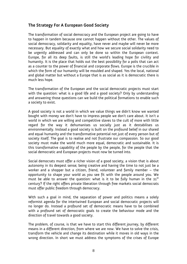#### **The Strategy For A European Good Society**

The transformation of social democracy and the European project are going to have to happen in tandem because one cannot happen without the other. The values of social democracy, solidarity and equality, have never and maybe will never be more necessary. But equality of exactly what and how we secure social solidarity need to be urgently addressed and can only be done so within the European context. Europe, for all its deep faults, is still the world's leading hope for civility and humanity. It is the place that holds out the best possibility for a polis that can act as a counter to the power of financial and corporate flows. Europe is the crucible in which the form of our humanity will be moulded and shaped. Yes the local, national and global matter but without a Europe that is as social as it is democratic there is much less hope.

The transformation of the European and the social democratic projects must start with the question: what is a good life and a good society? Only by understanding and answering those questions can we build the political formations to enable such a society to exist.

A good society is not a world in which we value things we didn't know we wanted bought with money we don't have to impress people we don't care about. It isn't a world in which we are willing and competitive slaves to the cult of more with little regard for the way it dehumanises us socially just as it destabilises us environmentally. Instead a good society is built on the profound belief in our shared and equal humanity and the transformative potential not just of every person but of society itself. The goal is to realise and not frustrate our compassion. So our good society must make the world much more equal, democratic and sustainable. It is this transformative capability of the people by the people, for the people that the social democratic and European projects must now be turned into.

Social democrats must offer a richer vision of a good society, a vision that is about autonomy in its deepest sense; being creative and having the time to not just be a worker and a shopper but a citizen, friend, volunteer and family member – the opportunity to shape your world as you see fit with the people around you. We must be able to answer the question: what is it to be fully human in the  $21^{st}$ century? If the right offers private liberation through free markets social democrats must offer public freedom through democracy.

With such a goal in mind, the separation of power and politics means a solely reformist agenda for the intertwined European and social democratic projects will no longer do. Instead a profound set of democratic means have to be combined with a profound set of democratic goals to create the behaviour mode and the direction of travel towards a good society.

The problem, of course, is that we have to start this different journey, by different means in a different direction, from where we are now. We have to solve the crisis, transform the vehicle and change its destination while it moves in old ways in the wrong direction. In short we must address the symptoms of the crises of Europe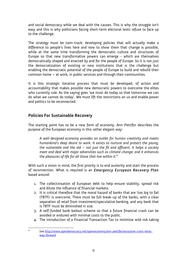and social democracy while we deal with the causes. This is why the struggle isn't easy and this is why politicians facing short-term electoral tests refuse to face up to the challenge.

The strategy must be twin-track: developing policies that will actually make a difference to people's lives here and now to show them that change is possible, while at the same time transforming the democratic culture and structures of Europe so that new transformative powers can emerge - which are themselves democratically shaped and enacted by and for the people of Europe. So it is not just the democratization of existing or new institutions that is the challenge but enabling the democratic potential of the people of Europe to build and rebuild their common home – at work, in public services and through their communities.

It is this strategic iterative process that must be developed, of action and accountability that makes possible new democratic powers to overcome the elites who currently rule. As the saying goes 'we must do today so that tomorrow we can do what we cannot do today'. We must lift the restrictions on us and enable power and politics to be reconnected.

#### **Policies For Sustainable Recovery**

The starting point has to be a new form of economy. Ann Pettifor describes the purpose of the European economy in this rather elegant way:

*A well-designed economy provides an outlet for human creativity and meets humankind's deep desire to work. It exists to nurture and protect the young, the vulnerable and the old – not just the fit and affluent. It helps a society meet and deal with major adversities such as climate change; and it enhances the pleasures of life for all those that live within it*. 4

With such a vision in mind, the first priority is to end austerity and start the process of reconnection. What is required is an *Emergency European Recovery Plan* based around:

- 1. The collectivisation of European debt to help ensure stability, spread risk and dilute the influence of financial markets.
- 2. It is critical therefore that the moral hazard of banks that are 'too big to fail (TBTF)' is overcome. There must be full break-up of the banks, with a clear separation of retail from investment/speculative banking, and any bank that is TBTF must be diminished in size.
- 3. A self-funded bank bailout scheme so that a future financial crash can be avoided or endured with minimal costs to the public.
- 4. The introduction of a Financial Transaction Tax to minimise wild risk taking

<sup>4</sup> See http://www.opendemocracy.net/openeconomy/ann-pettifor/eurozone-crisis-whatway-forward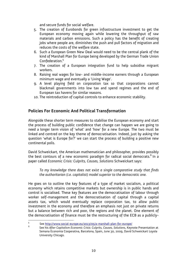and secure funds for social welfare.

- 5. The creation of Eurobonds for green infrastructure investment to get the European economy moving again while lowering the throughput of raw materials and carbon emissions. Such a policy has the benefit of creating jobs where people are, diminishes the push and pull factors of migration and reduces the costs of the welfare state.
- 6. Such a European Green New Deal would need to be the central plank of the kind of Marshall Plan for Europe being developed by the German Trade Union Confederation.<sup>5</sup>
- 7. The creation of a European integration fund to help subsidise migrant workers.
- 8. Raising real wages for low- and middle-income earners through a European minimum wage and eventually a 'Living Wage'.
- 9. A level playing field on corporation tax so that corporations cannot blackmail governments into low tax and spend regimes and the end of European tax havens for similar reasons.
- 10. The reintroduction of capital controls to enhance economic stability.

#### **Policies For Economic And Political Transformation**

Alongside these shorter term measures to stabilise the European economy and start the process of building public confidence that change can happen we are going to need a longer term vision of 'what' and 'how' for a new Europe. The two must be linked and centred on the key theme of democratisation. Indeed, just by asking the question 'what is Europe for?' we can start the process of building a positive new continental polis.

David Schweickart, the American mathematician and philosopher, provides possibly the best contours of a new economic paradigm for radical social democrats. $^6$  In a paper called *Economic Crisis: Culprits, Causes, Solutions* Schweickart says:

*To my knowledge there does not exist a single comparative study that finds the authoritarian (i.e. capitalist) model superior to the democratic one.* 

He goes on to outline the key features of a type of market socialism, a political economy which retains competitive markets but ownership is in public hands and control is socialised. These key features are the democratisation of labour through worker self-management and the democratisation of capital through a capital assets tax, which would eventually replace corporation tax, to allow public investment in the economy and therefore an emphasis not just on private returns but a balance between rich and poor, the regions and the planet. One element of the democratisation of finance must be the restructuring of the ECB as a publicly- 

<sup>5</sup> See http://www.social-europe.eu/2013/05/a-marshall-plan-for-europe/ 

 6

See his *After Capitalism Economic Crisis: Culprits, Causes, Solutions*, Keynote Presentation at Semana Economia Cooperativa, Barcelona, Spain, June 30, 2009, David Schweickart Loyola University Chicago.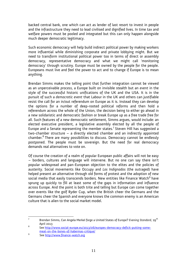backed central bank, one which can act as lender of last resort to invest in people and the infrastructure they need to lead civilised and dignified lives. In time tax and welfare powers must be pooled and integrated but this can only happen alongside much deeper democratic legitimacy.

Such economic democracy will help build indirect political power by making workers more influential while diminishing corporate and private lobbying might. But we need to transform institutional political power too in terms of direct or assembly democracy, representative democracy and what we might call 'monitoring democracy' through scrutiny. Europe must be owned by the people for the people. Europeans must live and feel the power to act and to change if Europe is to mean anything.

Brendan Simms makes the telling point that further integration cannot be viewed as an unperceivable *process*, a Europe built on invisible stealth but an *event* in the style of the successful historic unifications of the UK and the USA. It is in the pursuit of such a *democratic event* that Labour in the UK and others can justifiable resist the call for an in/out referendum on Europe as it is. Instead they can develop the options for a number of deep-rooted political reforms and then hold a referendum across the whole of the Union, the decision being to either go ahead in a new solidaristic and democratic fashion or break Europe up as a free trade free for all. Such features of a new democratic settlement, Simms argues, would include: an elected executive president, a legislative assembly elected by all the people of Europe and a Senate representing the member states.<sup>7</sup> Steven Hill has suggested a two-chamber structure – a directly elected chamber and an indirectly appointed chamber.<sup>8</sup> There are many possibilities to discuss. Democracy cannot be endlessly postponed. The people must be sovereign. But the need for real democracy demands real alternatives to vote on.

Of course the creation of a realm of popular European public affairs will not be easy – borders, cultures and language will intervene. But no one can say there isn't popular widespread and pan-European objection to the elites and the policies of austerity. Social movements like Occupy and *Los Indignados* (the outraged) have helped present an alternative through old forms of protest and the adoption of new social media that easily transcends borders. New entities like Finance Watch $^{\rm 9}$  have sprung up quickly to fill at least some of the gaps in information and influence across Europe. And the point is both trite and telling but Europe can come together over events like the golf Ryder Cup, when the British cheer the Germans and the Germans cheer the Spanish and everyone knows the common enemy is an American culture that is alien to the social market model.

<sup>7</sup> Brendan Simms, Can Angela Merkel forge a United States of Europe? *Evening Standard.* 29<sup>th</sup> April 2013

**<sup>8</sup>**  See http://www.social-europe.eu/2013/06/europes-democracy-deficit-putting-somemeat-on-the-bones-of-habermas-critique/

<sup>9</sup> See http://www.finance-watch.org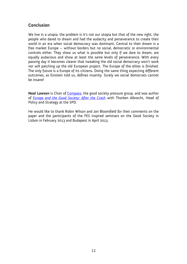#### **Conclusion**

We live in a utopia, the problem is it's not our utopia but that of the new right, the people who dared to dream and had the audacity and perseverance to create their world in an era when social democracy was dominant. Central to their dream is a free market Europe – without borders but no social, democratic or environmental controls either. They show us what is possible but only if we dare to dream, are equally audacious and show at least the same levels of perseverance. With every passing day it becomes clearer that tweaking the old social democracy won't work nor will patching up the old European project. The Europe of the elites is finished. The only future is a Europe of its citizens. Doing the same thing expecting different outcomes, as Einstein told us, defines insanity. Surely we social democrats cannot be insane!

**Neal Lawson** is Chair of Compass, the good society pressure group, and was author of *Europe and the Good Society: After the Crash* with Thorben Albrecht, Head of Policy and Strategy at the SPD.

He would like to thank Robin Wilson and Jon Bloomfield for their comments on the paper and the participants of the FES inspired seminars on the Good Society in Lisbon in February 2013 and Budapest in April 2013.